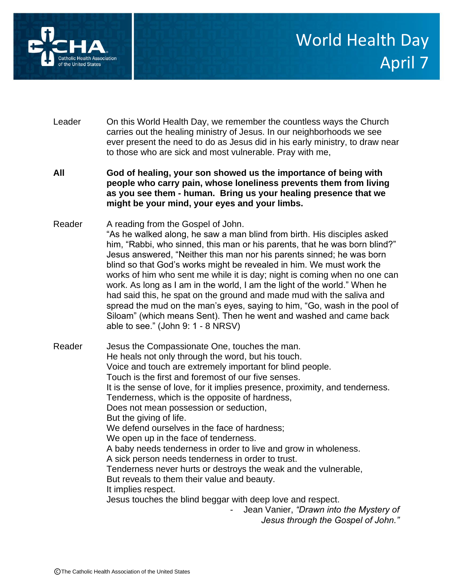

- Leader On this World Health Day, we remember the countless ways the Church carries out the healing ministry of Jesus. In our neighborhoods we see ever present the need to do as Jesus did in his early ministry, to draw near to those who are sick and most vulnerable. Pray with me,
- **All God of healing, your son showed us the importance of being with people who carry pain, whose loneliness prevents them from living as you see them - human. Bring us your healing presence that we might be your mind, your eyes and your limbs.**
- Reader A reading from the Gospel of John. "As he walked along, he saw a man blind from birth. His disciples asked him, "Rabbi, who sinned, this man or his parents, that he was born blind?" Jesus answered, "Neither this man nor his parents sinned; he was born blind so that God's works might be revealed in him. We must work the works of him who sent me while it is day; night is coming when no one can work. As long as I am in the world, I am the light of the world." When he had said this, he spat on the ground and made mud with the saliva and spread the mud on the man's eyes, saying to him, "Go, wash in the pool of Siloam" (which means Sent). Then he went and washed and came back able to see." (John 9: 1 - 8 NRSV)

Reader Jesus the Compassionate One, touches the man. He heals not only through the word, but his touch. Voice and touch are extremely important for blind people. Touch is the first and foremost of our five senses. It is the sense of love, for it implies presence, proximity, and tenderness. Tenderness, which is the opposite of hardness, Does not mean possession or seduction, But the giving of life. We defend ourselves in the face of hardness; We open up in the face of tenderness. A baby needs tenderness in order to live and grow in wholeness. A sick person needs tenderness in order to trust. Tenderness never hurts or destroys the weak and the vulnerable, But reveals to them their value and beauty. It implies respect. Jesus touches the blind beggar with deep love and respect. - Jean Vanier, *"Drawn into the Mystery of Jesus through the Gospel of John."*